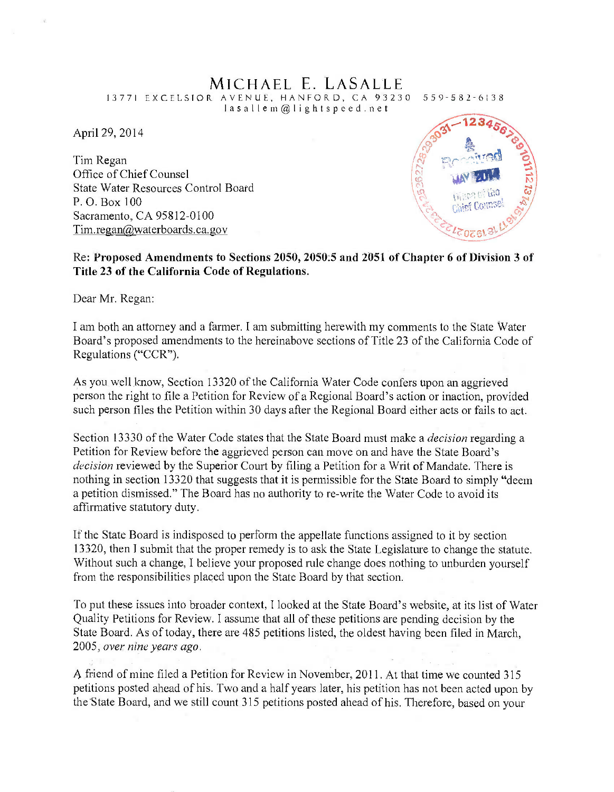## MICHAEL E. LASALLE<br>RAVENUE, HANFORD, CA 93230 559-582-6138

13771 EXCELSIOR AVENUE, HANFORD, CA 93230<br>Iasallem@lightspeed.net

April 29, 2014

Tim Regan Office of Chief Counsel State Water Resources Control Board P. O. Box 100 Sacramento, CA 95812-0100 Tim.regan@waterboards.ca.gov



## Re: Proposed Amendments to Sections 2050, 2050.5 and 2051 of Chapter 6 of Division 3 of Title 23 of the California Code of Regulations.

Dear Mr. Regan:

<sup>I</sup>am both an attorney and a farmer. I am submitting herewith my comments to the State Water Board's proposed amendments to the hereinabove sections of Title 23 of the California Code of Regulations ("CCR").

As you well know, Section 13320 of the California Water Code confers upon an aggrieved person the right to file a Petition for Review of a Regional Board's action or inaction, provided such person files the Petition within 30 days after the Regional Board either acts or fails to act.

Section 13330 of the Water Code states that the State Board must make a *decision* regarding a Petition for Review before the aggrieved person can move on and have the State Board's decision reviewed by the Superior Court by filing a Petition for a Writ of Mandate. There is nothing in section 13320 that suggests that it is permissible for the State Board to simply "deem a petition dismissed." The Board has no authority to re -write the Water Code to avoid its affirmative statutory duty.

If the State Board is indisposed to perform the appellate functions assigned to it by section 13320, then I submit that the proper remedy is to ask the State Legislature to change the statute. Without such a change, I believe your proposed rule change does nothing to unburden yourself from the responsibilities placed upon the State Board by that section.

To put these issues into broader context, I looked at the State Board's website, at its list of Water Quality Petitions for Review. I assume that all of these petitions are pending decision by the State Board. As of today, there are 485 petitions listed, the oldest having been filed in March, 2005, over nine years ago.

A friend of mine filed a Petition for Review in November, 2011. At that time we counted 315 petitions posted ahead of his. Two and a half years later, his petition has not been acted upon by the State Board, and we still count 315 petitions posted ahead of his. Therefore, based on your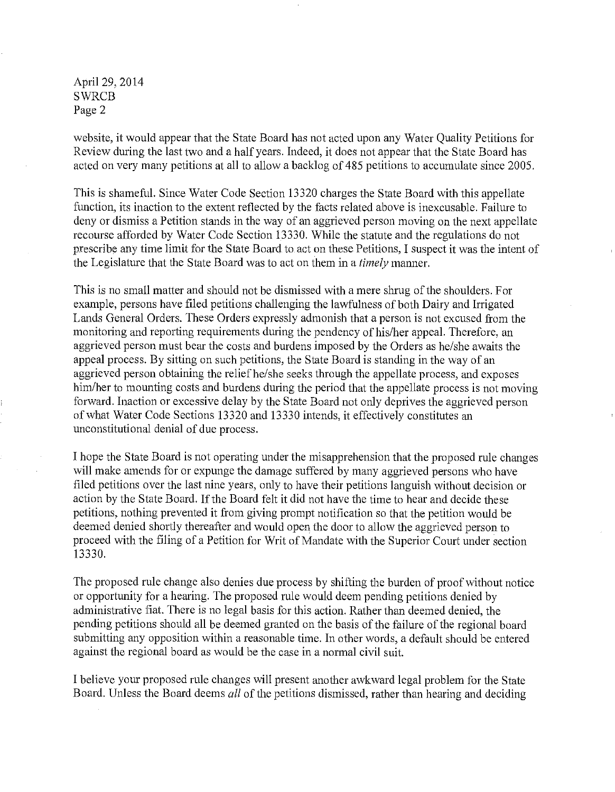April 29, 2014 SWRCB Page 2

website, it would appear that the State Board has not acted upon any Water Quality Petitions for Review during the last two and a half years. Indeed, it does not appear that the State Board has acted on very many petitions at all to allow a backlog of 485 petitions to accumulate since 2005.

This is shameful. Since Water Code Section 13320 charges the State Board with this appellate function, its inaction to the extent reflected by the facts related above is inexcusable. Failure to deny or dismiss a Petition stands in the way of an aggrieved person moving on the next appellate recourse afforded by Water Code Section 13330. While the statute and the regulations do not prescribe any time limit for the State Board to act on these Petitions, I suspect it was the intent of the Legislature that the State Board was to act on them in a timely manner.

This is no small matter and should not be dismissed with a mere shrug of the shoulders. For example, persons have filed petitions challenging the lawfulness of both Dairy and Irrigated Lands General Orders. These Orders expressly admonish that a person is not excused from the monitoring and reporting requirements during the pendency of his/her appeal. Therefore, an aggrieved person must bear the costs and burdens imposed by the Orders as he/she awaits the appeal process. By sitting on such petitions, the State Board is standing in the way of an aggrieved person obtaining the relief he/she seeks through the appellate process, and exposes him/her to mounting costs and burdens during the period that the appellate process is not moving forward. Inaction or excessive delay by the State Board not only deprives the aggrieved person of what Water Code Sections 13320 and 13330 intends, it effectively constitutes an unconstitutional denial of due process.

<sup>I</sup>hope the State Board is not operating under the misapprehension that the proposed rule changes will make amends for or expunge the damage suffered by many aggrieved persons who have filed petitions over the last nine years, only to have their petitions languish without decision or action by the State Board. If the Board felt it did not have the time to hear and decide these petitions, nothing prevented it from giving prompt notification so that the petition would be deemed denied shortly thereafter and would open the door to allow the aggrieved person to proceed with the filing of a Petition for Writ of Mandate with the Superior Court under section 13330.

The proposed rule change also denies due process by shifting the burden of proof without notice or opportunity for a hearing. The proposed rule would deem pending petitions denied by administrative fiat. There is no legal basis for this action. Rather than deemed denied, the pending petitions should all be deemed granted on the basis of the failure of the regional board submitting any opposition within a reasonable time. In other words, a default should be entered against the regional board as would be the case in a normal civil suit.

<sup>I</sup>believe your proposed rule changes will present another awkward legal problem for the State Board. Unless the Board deems all of the petitions dismissed, rather than hearing and deciding